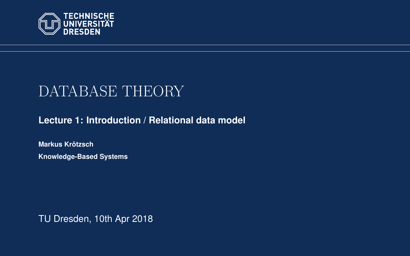<span id="page-0-0"></span>

# DATABASE THEORY

**[Lecture 1: Introduction / Relational data model](https://iccl.inf.tu-dresden.de/web/Database_Theory_(SS2018))**

**[Markus Krotzsch](https://iccl.inf.tu-dresden.de/web/Markus_Kr%C3%B6tzsch/en) ¨ Knowledge-Based Systems**

TU Dresden, 10th Apr 2018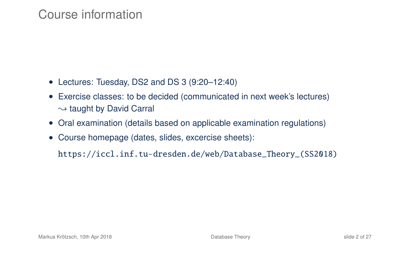### Course information

- Lectures: Tuesday, DS2 and DS 3 (9:20–12:40)
- Exercise classes: to be decided (communicated in next week's lectures)  $\rightarrow$  taught by David Carral
- Oral examination (details based on applicable examination regulations)
- Course homepage (dates, slides, excercise sheets):

[https://iccl.inf.tu-dresden.de/web/Database\\_Theory\\_\(SS2018\)](https://iccl.inf.tu-dresden.de/web/Database_Theory_(SS2018))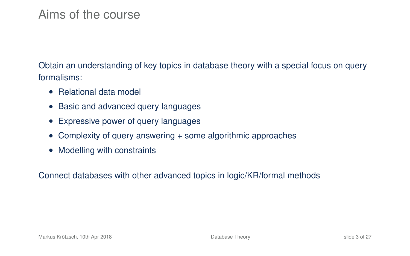# Aims of the course

Obtain an understanding of key topics in database theory with a special focus on query formalisms:

- Relational data model
- Basic and advanced query languages
- Expressive power of query languages
- Complexity of query answering + some algorithmic approaches
- Modelling with constraints

Connect databases with other advanced topics in logic/KR/formal methods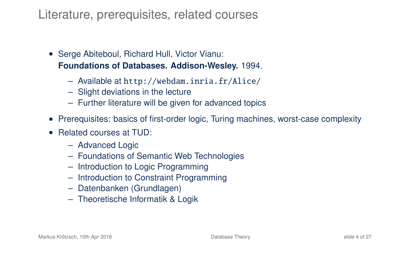### Literature, prerequisites, related courses

- Serge Abiteboul, Richard Hull, Victor Vianu: **Foundations of Databases. Addison-Wesley.** 1994.
	- Available at <http://webdam.inria.fr/Alice/>
	- Slight deviations in the lecture
	- Further literature will be given for advanced topics
- Prerequisites: basics of first-order logic, Turing machines, worst-case complexity
- Related courses at TUD:
	- Advanced Logic
	- Foundations of Semantic Web Technologies
	- Introduction to Logic Programming
	- Introduction to Constraint Programming
	- Datenbanken (Grundlagen)
	- Theoretische Informatik & Logik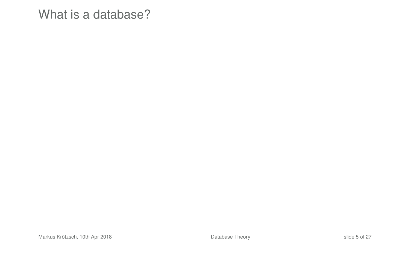### What is a database?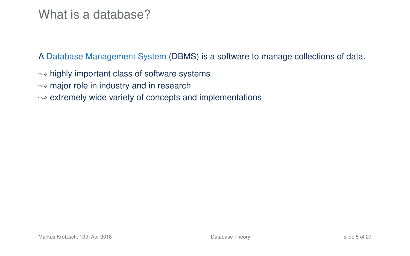### What is a database?

A Database Management System (DBMS) is a software to manage collections of data.

 $\rightarrow$  highly important class of software systems

 $\rightarrow$  major role in industry and in research

 $\rightarrow$  extremely wide variety of concepts and implementations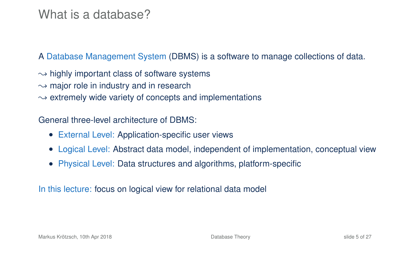### What is a database?

A Database Management System (DBMS) is a software to manage collections of data.

 $\rightarrow$  highly important class of software systems

- $\rightarrow$  major role in industry and in research
- $\rightarrow$  extremely wide variety of concepts and implementations

General three-level architecture of DBMS:

- External Level: Application-specific user views
- Logical Level: Abstract data model, independent of implementation, conceptual view
- Physical Level: Data structures and algorithms, platform-specific

In this lecture: focus on logical view for relational data model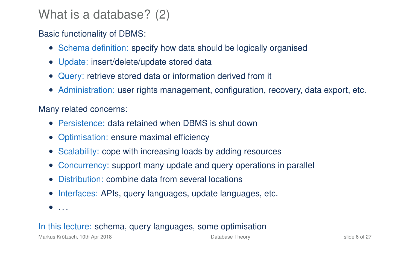# What is a database? (2)

### Basic functionality of DBMS:

- Schema definition: specify how data should be logically organised
- Update: insert/delete/update stored data
- Query: retrieve stored data or information derived from it
- Administration: user rights management, configuration, recovery, data export, etc.

#### Many related concerns:

- Persistence: data retained when DBMS is shut down
- Optimisation: ensure maximal efficiency
- Scalability: cope with increasing loads by adding resources
- Concurrency: support many update and query operations in parallel
- Distribution: combine data from several locations
- Interfaces: APIs, query languages, update languages, etc.
- $\bullet$  . . .

#### In this lecture: schema, query languages, some optimisation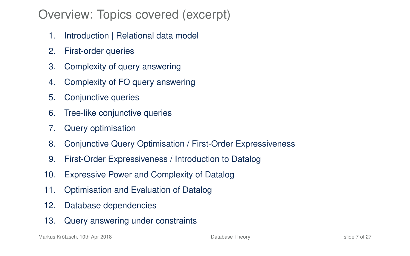# Overview: Topics covered (excerpt)

- 1. Introduction | Relational data model
- 2. First-order queries
- 3. Complexity of query answering
- 4. Complexity of FO query answering
- 5. Conjunctive queries
- 6. Tree-like conjunctive queries
- 7. Query optimisation
- 8. Conjunctive Query Optimisation / First-Order Expressiveness
- 9. First-Order Expressiveness / Introduction to Datalog
- 10. Expressive Power and Complexity of Datalog
- 11. Optimisation and Evaluation of Datalog
- 12. Database dependencies
- 13. Query answering under constraints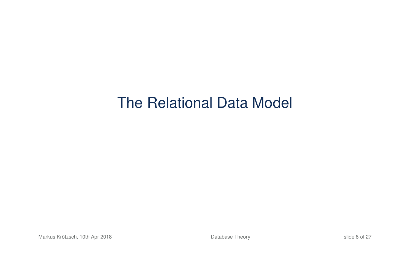# The Relational Data Model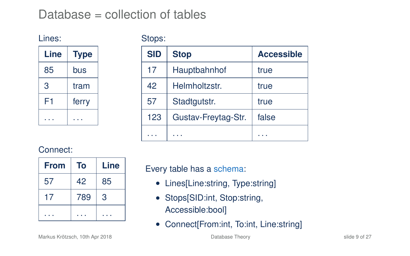# Database = collection of tables

Lines:

Stops:

| Line | <b>Type</b> |
|------|-------------|
| 85   | bus         |
| 3    | tram        |
| F1   | ferry       |
|      |             |

| <b>SID</b> | <b>Stop</b>         | <b>Accessible</b> |
|------------|---------------------|-------------------|
| 17         | Hauptbahnhof        | true              |
| 42         | Helmholtzstr.       | true              |
| 57         | Stadtgutstr.        | true              |
| 123        | Gustav-Freytag-Str. | false             |
|            |                     |                   |

#### Connect:

| <b>From</b> | To  | Line |
|-------------|-----|------|
| 57          | 42  | 85   |
| 17          | 789 | 3    |
|             |     |      |

Every table has a schema:

- Lines[Line:string, Type:string]
- Stops[SID:int, Stop:string, Accessible:bool]
- Connect[From:int, To:int, Line:string]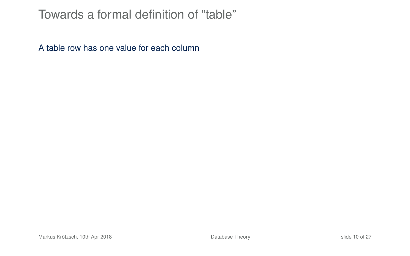## Towards a formal definition of "table"

A table row has one value for each column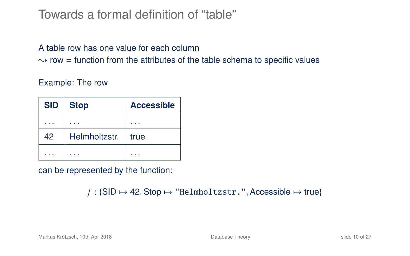## Towards a formal definition of "table"

#### A table row has one value for each column

 $\rightarrow$  row = function from the attributes of the table schema to specific values

#### Example: The row

| <b>SID</b> | <b>Stop</b>   | <b>Accessible</b> |
|------------|---------------|-------------------|
|            |               |                   |
| 42         | Helmholtzstr. | true              |
|            |               |                   |

can be represented by the function:

 $f :$ {SID  $\mapsto$  42, Stop  $\mapsto$  "Helmholtzstr.", Accessible  $\mapsto$  true}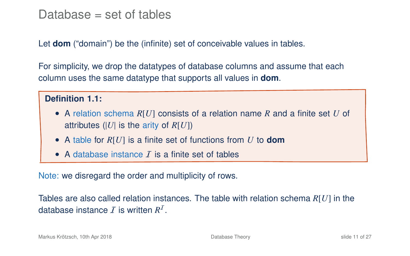### Database  $=$  set of tables

Let **dom** ("domain") be the (infinite) set of conceivable values in tables.

For simplicity, we drop the datatypes of database columns and assume that each column uses the same datatype that supports all values in **dom**.

#### Definition 1.1:

- A relation schema *R*[*U*] consists of a relation name *R* and a finite set *U* of attributes (|*U*| is the arity of *R*[*U*])
- A table for *R*[*U*] is a finite set of functions from *U* to **dom**
- A database instance  $\bar{I}$  is a finite set of tables

Note: we disregard the order and multiplicity of rows.

Tables are also called relation instances. The table with relation schema *R*[*U*] in the database instance  $I$  is written  $R^I$ .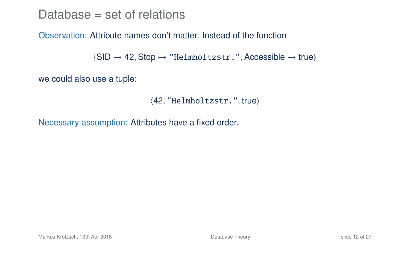Database = set of relations

#### Observation: Attribute names don't matter. Instead of the function

```
\{SID \mapsto 42, Stop \mapsto "Helmholtzstr.", Accessible \mapsto true\}
```
we could also use a tuple:

```
\langle 42, "Helmholtzstr." , true \rangle
```
Necessary assumption: Attributes have a fixed order.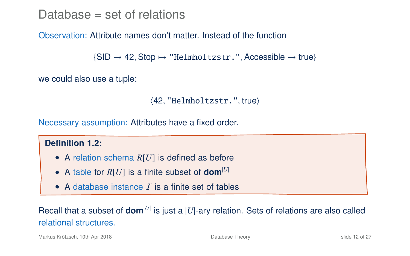Database = set of relations

#### Observation: Attribute names don't matter. Instead of the function

```
\{SID \mapsto 42, Stop \mapsto "Helmholtzstr.", Accessible \mapsto true\}
```
we could also use a tuple:

```
\langle 42, "Helmholtzstr.", true)
```
Necessary assumption: Attributes have a fixed order.

#### **Definition 1.2:**

- A relation schema *R*[*U*] is defined as before
- A table for  $R[U]$  is a finite subset of **dom**<sup>[U]</sup>
- A database instance  $I$  is a finite set of tables

Recall that a subset of  $\text{dom}^{|U|}$  is just a  $|U|$ -ary relation. Sets of relations are also called relational structures.

Markus Krötzsch, 10th Apr 2018 **[Database Theory](#page-0-0)** Database Theory **Slide 12 of 27** slide 12 of 27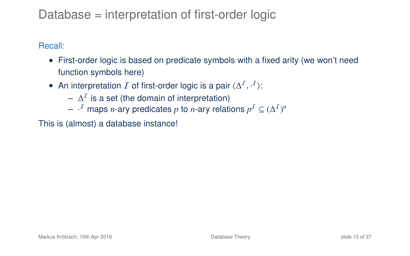# Database = interpretation of first-order logic

Recall:

- First-order logic is based on predicate symbols with a fixed arity (we won't need function symbols here)
- An interpretation  $I$  of first-order logic is a pair  $\langle \Delta^I, \cdot^I \rangle$ :
	- $\Delta^{\mathcal{I}}$  is a set (the domain of interpretation)
	- $\vdash \cdot^I$  maps *n*-ary predicates  $p$  to *n*-ary relations  $p^I \subseteq (\Delta^I)^n$

This is (almost) a database instance!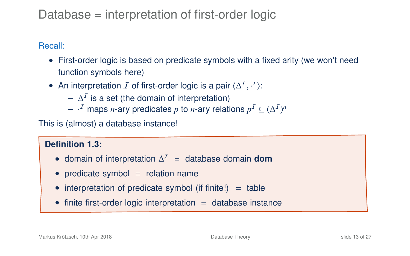# Database = interpretation of first-order logic

#### Recall:

- First-order logic is based on predicate symbols with a fixed arity (we won't need function symbols here)
- An interpretation  $I$  of first-order logic is a pair  $\langle \Delta^I, \cdot^I \rangle$ :
	- $\Delta^{\mathcal{I}}$  is a set (the domain of interpretation)
	- $\vdash \cdot^I$  maps *n*-ary predicates  $p$  to *n*-ary relations  $p^I \subseteq (\Delta^I)^n$

This is (almost) a database instance!

### **Definition 1.3:**

- domain of interpretation ∆ <sup>I</sup> = database domain **dom**
- predicate symbol  $=$  relation name
- interpretation of predicate symbol (if finite!)  $=$  table
- finite first-order logic interpretation  $=$  database instance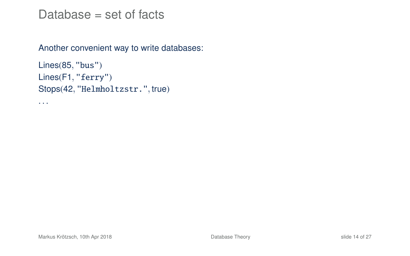### Database  $=$  set of facts

Another convenient way to write databases:

```
Lines(85, "bus")
Lines(F1, "ferry")
Stops(42, "Helmholtzstr.", true)
```
. . .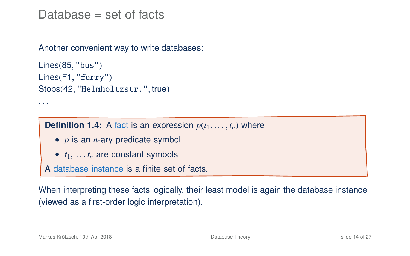### Database  $=$  set of facts

Another convenient way to write databases:

```
Lines(85, "bus")Lines(F1, "ferry")
Stops(42, "Helmholtzstr.", true)
. . .
```
**Definition 1.4:** A fact is an expression  $p(t_1, \ldots, t_n)$  where

- *p* is an *n*-ary predicate symbol
- *t*1, . . . *t<sup>n</sup>* are constant symbols

A database instance is a finite set of facts.

When interpreting these facts logically, their least model is again the database instance (viewed as a first-order logic interpretation).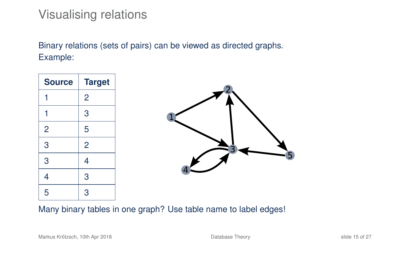# Visualising relations

Binary relations (sets of pairs) can be viewed as directed graphs. Example:

| <b>Source</b>  | <b>Target</b> |  |
|----------------|---------------|--|
|                | 2             |  |
|                | 3             |  |
| $\overline{2}$ | 5             |  |
| 3              | 2             |  |
| 3              | 4             |  |
|                | 3             |  |
| 5              | 3             |  |

Many binary tables in one graph? Use table name to label edges!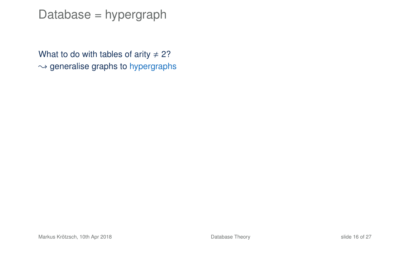### Database = hypergraph

What to do with tables of arity  $\neq$  2?  $\rightarrow$  generalise graphs to hypergraphs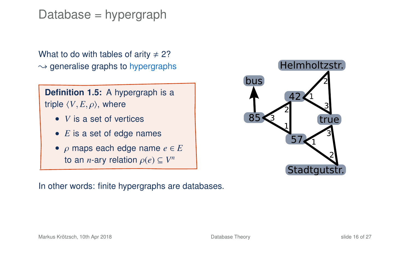Database = hypergraph

What to do with tables of arity  $\neq$  2?  $\rightarrow$  generalise graphs to hypergraphs

**Definition 1.5:** A hypergraph is a triple  $\langle V, E, \rho \rangle$ , where

- *V* is a set of vertices
- *E* is a set of edge names
- ρ maps each edge name *<sup>e</sup>* <sup>∈</sup> *<sup>E</sup>* to an *n*-ary relation  $\rho(e) \subseteq V^n$

In other words: finite hypergraphs are databases.

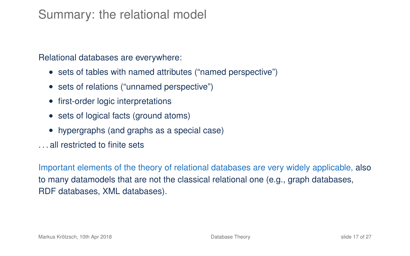# Summary: the relational model

Relational databases are everywhere:

- sets of tables with named attributes ("named perspective")
- sets of relations ("unnamed perspective")
- first-order logic interpretations
- sets of logical facts (ground atoms)
- hypergraphs (and graphs as a special case)
- all restricted to finite sets

Important elements of the theory of relational databases are very widely applicable, also to many datamodels that are not the classical relational one (e.g., graph databases, RDF databases, XML databases).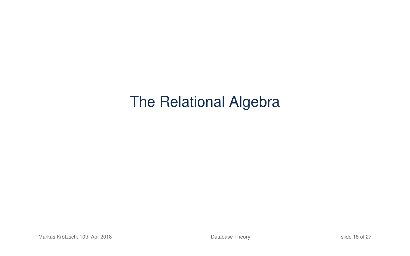# The Relational Algebra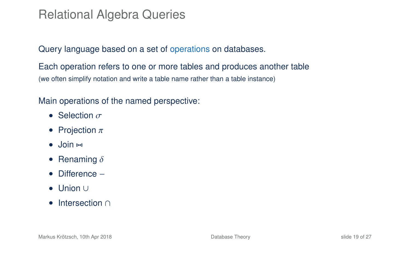# Relational Algebra Queries

#### Query language based on a set of operations on databases.

Each operation refers to one or more tables and produces another table (we often simplify notation and write a table name rather than a table instance)

Main operations of the named perspective:

- Selection  $\sigma$
- Projection  $\pi$
- $\bullet$  Join  $\bowtie$
- Renaming  $\delta$
- Difference −
- Union ∪
- Intersection ∩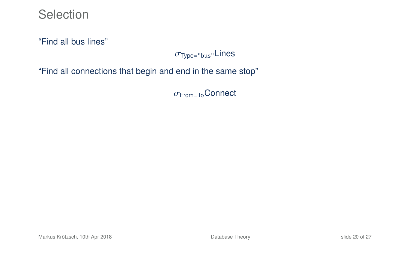**Selection** 

"Find all bus lines"

 $\sigma$ <sub>Type="bus"</sub>Lines

"Find all connections that begin and end in the same stop"

σFrom=ToConnect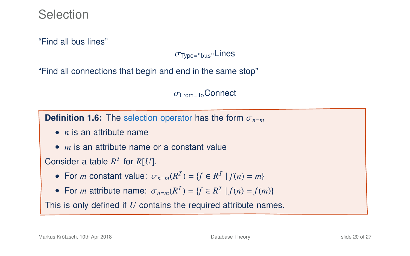"Find all bus lines"

 $\sigma$ <sub>Type="bus"</sub>Lines

"Find all connections that begin and end in the same stop"

 $\sigma$ <sub>From=To</sub>Connect

**Definition 1.6:** The selection operator has the form  $\sigma_{n=m}$ 

- *n* is an attribute name
- *m* is an attribute name or a constant value

### Consider a table  $R^I$  for  $R[U]$ .

- For *m* constant value:  $\sigma_{n=m}(R^{\mathcal{I}}) = \{f \in R^{\mathcal{I}} \mid f(n) = m\}$
- For *m* attribute name:  $\sigma_{n=m}(R^I) = \{f \in R^I \mid f(n) = f(m)\}$

This is only defined if *U* contains the required attribute names.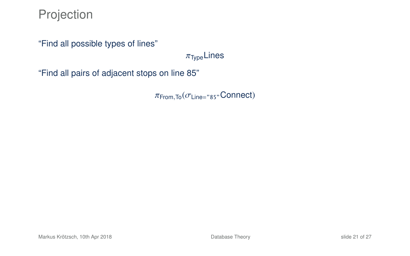Projection

"Find all possible types of lines"

 $\pi_{\text{Two}}$ Lines

"Find all pairs of adjacent stops on line 85"

 $\pi$ <sub>From,To</sub> $(\sigma_{Line='85}$ "Connect)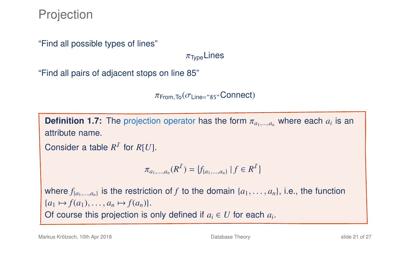Projection

"Find all possible types of lines"

 $\pi_{\text{Two}}$ Lines

"Find all pairs of adjacent stops on line 85"

 $\pi$ From, To  $(\sigma_{Line = "85"}$ Connect)

**Definition 1.7:** The projection operator has the form  $\pi_{a_1,\dots,a_n}$  where each  $a_i$  is an attribute name. attribute name.

```
Consider a table R^I for R[U].
```

$$
\pi_{a_1,\dots,a_n}(R^{\mathcal{I}})=\{f_{\{a_1,\dots,a_n\}}\,|\,f\in R^{\mathcal{I}}\}
$$

where  $f_{\{a_1,\ldots,a_n\}}$  is the restriction of *f* to the domain  $\{a_1,\ldots,a_n\}$ , i.e., the function  ${a_1 \mapsto f(a_1), \ldots, a_n \mapsto f(a_n)}.$ Of course this projection is only defined if  $a_i \in U$  for each  $a_i$ .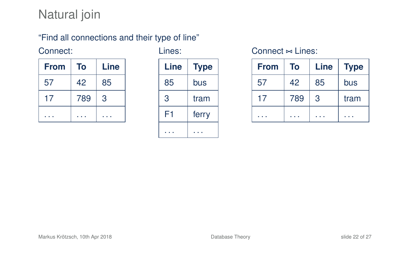# Natural join

### "Find all connections and their type of line"

#### Connect:

| <b>From</b> | To  | Line |
|-------------|-----|------|
| 57          | 42  | 85   |
| 17          | 789 | 3    |
|             |     |      |

Lines:

| Line | <b>Type</b> |
|------|-------------|
| 85   | bus         |
| 3    | tram        |
| F1   | ferry       |
|      |             |

#### Connect  $\approx$  Lines:

| <b>From</b> | To  | Line | <b>Type</b> |
|-------------|-----|------|-------------|
| 57          | 42  | 85   | bus         |
| 17          | 789 | 3    | tram        |
|             |     |      |             |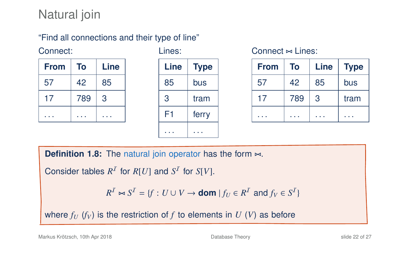# Natural join

### "Find all connections and their type of line"

#### Connect:

| <b>From</b> | To  | Line |
|-------------|-----|------|
| 57          | 42  | 85   |
| 17          | 789 | 3    |
|             |     |      |

| Line | <b>Type</b> |
|------|-------------|
| 85   | bus         |
| 3    | tram        |
| F1   | ferry       |
|      |             |

Lines:

#### $Connect \Join Linear$ :

| <b>From</b> | To  | Line | <b>Type</b> |
|-------------|-----|------|-------------|
| 57          | 42  | 85   | bus         |
| 17          | 789 | 3    | tram        |
|             |     |      |             |

**Definition 1.8:** The natural join operator has the form  $\bowtie$ .

Consider tables  $R^I$  for  $R[U]$  and  $S^I$  for  $S[V]$ .

 $R^I \bowtie S^I = \{f : U \cup V \rightarrow \textbf{dom} \mid f_U \in R^I \text{ and } f_V \in S^I\}$ 

where  $f_U$  ( $f_V$ ) is the restriction of  $f$  to elements in  $U$  ( $V$ ) as before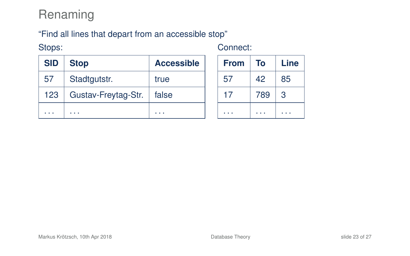# Renaming

### "Find all lines that depart from an accessible stop"

Stops:

| Connect: |  |  |
|----------|--|--|
|          |  |  |

| <b>SID</b> | <b>Stop</b>         | <b>Accessible</b> |
|------------|---------------------|-------------------|
| 57         | Stadtgutstr.        | true              |
| 123        | Gustav-Freytag-Str. | false             |
|            |                     |                   |

| <b>From</b> | To  | Line |
|-------------|-----|------|
| 57          | 42  | 85   |
| 17          | 789 | 3    |
|             |     |      |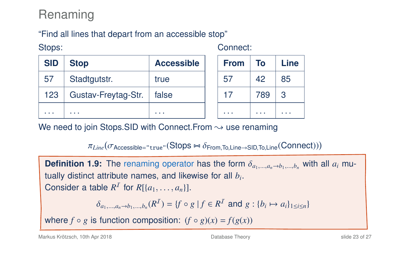# Renaming

### "Find all lines that depart from an accessible stop"

Stops:

| <b>SID</b> | <b>Stop</b>         | <b>Accessible</b> |  |  |
|------------|---------------------|-------------------|--|--|
| 57         | Stadtgutstr.        | true              |  |  |
| 123        | Gustav-Freytag-Str. | false             |  |  |
|            |                     |                   |  |  |

Connect:

| <b>From</b> | To  | Line |
|-------------|-----|------|
| 57          | 42  | 85   |
| 17          | 789 | 3    |
|             |     |      |

We need to join Stops.SID with Connect. From  $\sim$  use renaming

 $\pi_{Line}(\sigma_{\text{Accessible="true}''}(\text{Stops} \bowtie \delta_{\text{From},\text{To},\text{Line} \rightarrow \text{SID},\text{To},\text{Line}}(\text{Connect})))$ 

**Definition 1.9:** The renaming operator has the form  $\delta_{a_1,\dots,a_n\to b_1,\dots,b_n}$  with all  $a_i$  mutually distinct attribute names, and likewise for all *b<sup>i</sup>* . Consider a table  $R^I$  for  $R[\{a_1, \ldots, a_n\}].$  $\delta_{a_1,...,a_n \to b_1,...,b_n}(R^I) = \{f \circ g \mid f \in R^I \text{ and } g : \{b_i \mapsto a_i\}_{1 \le i \le n}\}$ 

where  $f \circ g$  is function composition:  $(f \circ g)(x) = f(g(x))$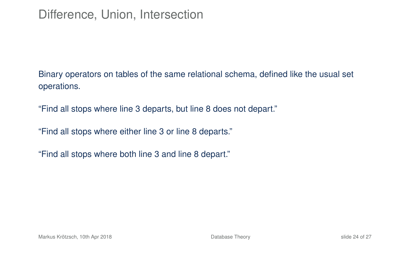Binary operators on tables of the same relational schema, defined like the usual set operations.

"Find all stops where line 3 departs, but line 8 does not depart."

"Find all stops where either line 3 or line 8 departs."

"Find all stops where both line 3 and line 8 depart."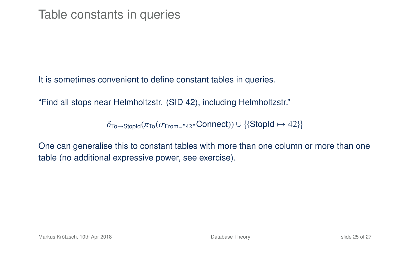It is sometimes convenient to define constant tables in queries.

"Find all stops near Helmholtzstr. (SID 42), including Helmholtzstr."

 $\delta$ To→StopId( $\pi$ To( $\sigma$ From="42"Connect))∪{{StopId  $\mapsto$  42}}

One can generalise this to constant tables with more than one column or more than one table (no additional expressive power, see exercise).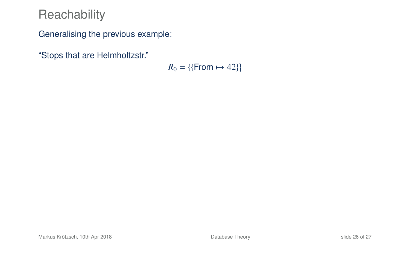Generalising the previous example:

"Stops that are Helmholtzstr."

 $R_0 = \{\{\text{From} \mapsto 42\}\}\$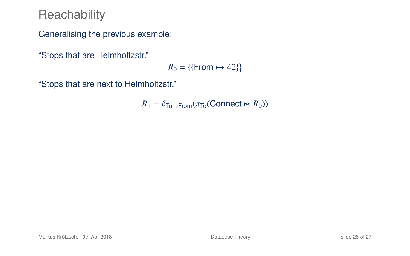Generalising the previous example:

"Stops that are Helmholtzstr."

 $R_0 = \{\{\text{From} \mapsto 42\}\}\$ 

"Stops that are next to Helmholtzstr."

 $R_1 = \delta_{\text{To} \to \text{From}} (\pi_{\text{To}}(\text{Connect} \bowtie R_0))$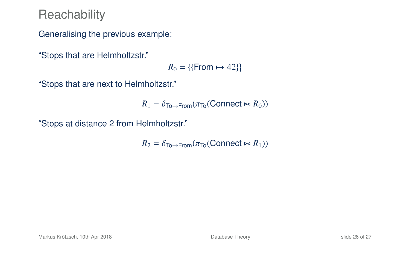Generalising the previous example:

"Stops that are Helmholtzstr."

 $R_0 = \{\{\text{From} \mapsto 42\}\}\$ 

"Stops that are next to Helmholtzstr."

$$
R_1 = \delta_{\text{To}\to\text{From}}(\pi_{\text{To}}(\text{Connect} \bowtie R_0))
$$

"Stops at distance 2 from Helmholtzstr."

$$
R_2 = \delta_{\text{To}\to\text{From}}(\pi_{\text{To}}(\text{Connect} \bowtie R_1))
$$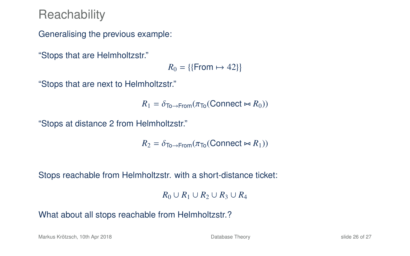Generalising the previous example:

"Stops that are Helmholtzstr."

 $R_0 = \{\{\text{From} \mapsto 42\}\}\$ 

"Stops that are next to Helmholtzstr."

$$
R_1 = \delta_{\text{To}\to\text{From}}(\pi_{\text{To}}(\text{Connect} \bowtie R_0))
$$

"Stops at distance 2 from Helmholtzstr."

$$
R_2 = \delta_{\text{To}\to\text{From}}(\pi_{\text{To}}(\text{Connect} \bowtie R_1))
$$

Stops reachable from Helmholtzstr. with a short-distance ticket:

*R*<sub>0</sub> ∪ *R*<sub>1</sub> ∪ *R*<sub>2</sub> ∪ *R*<sub>4</sub>

What about all stops reachable from Helmholtzstr.?

Markus Krötzsch, 10th Apr 2018 [Database Theory](#page-0-0) slide 26 of 27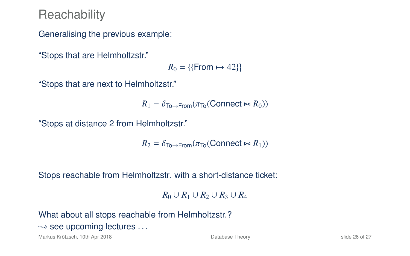Generalising the previous example:

"Stops that are Helmholtzstr."

 $R_0 = \{\{\text{From} \mapsto 42\}\}\$ 

"Stops that are next to Helmholtzstr."

$$
R_1 = \delta_{\text{To}\to\text{From}}(\pi_{\text{To}}(\text{Connect} \bowtie R_0))
$$

"Stops at distance 2 from Helmholtzstr."

$$
R_2 = \delta_{\text{To}\rightarrow\text{From}}(\pi_{\text{To}}(\text{Connect} \bowtie R_1))
$$

Stops reachable from Helmholtzstr. with a short-distance ticket:

*R*<sub>0</sub> ∪ *R*<sub>1</sub> ∪ *R*<sub>2</sub> ∪ *R*<sub>4</sub>

What about all stops reachable from Helmholtzstr.?

 $\rightarrow$  see upcoming lectures ...

Markus Krötzsch, 10th Apr 2018 **[Database Theory](#page-0-0)** Database Theory **Slide 26 of 27** slide 26 of 27